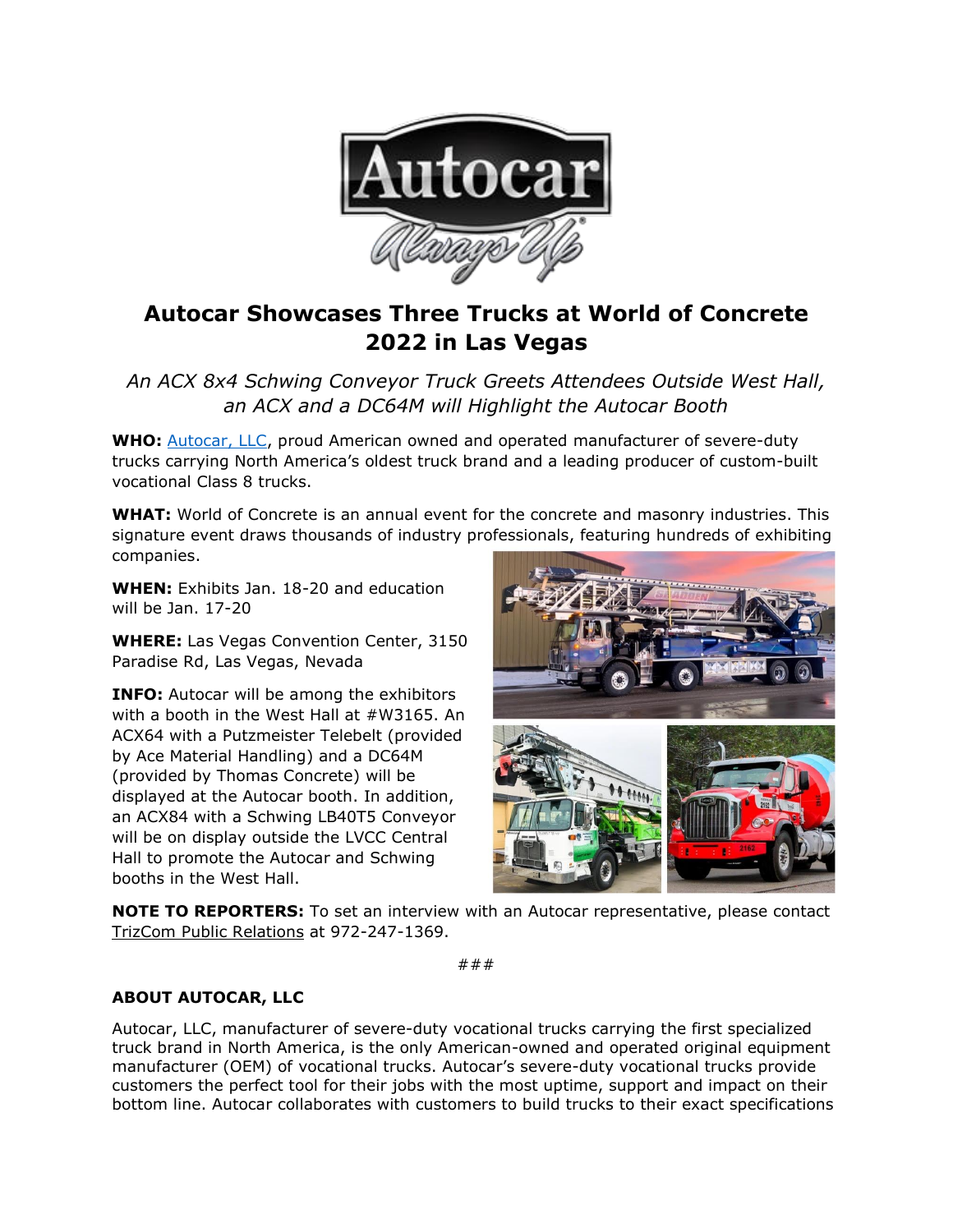

## **Autocar Showcases Three Trucks at World of Concrete 2022 in Las Vegas**

*An ACX 8x4 Schwing Conveyor Truck Greets Attendees Outside West Hall, an ACX and a DC64M will Highlight the Autocar Booth*

**WHO:** [Autocar, LLC,](https://www.autocartruck.com/acx/?utm_source=media+alert&utm_medium=email&utm_campaign=Autocar+CNG+ACX+on+Display+at+WasteCon+2021) proud American owned and operated manufacturer of severe-duty trucks carrying North America's oldest truck brand and a leading producer of custom-built vocational Class 8 trucks.

**WHAT:** World of Concrete is an annual event for the concrete and masonry industries. This signature event draws thousands of industry professionals, featuring hundreds of exhibiting companies.

**WHEN:** Exhibits Jan. 18-20 and education will be Jan. 17-20

**WHERE:** Las Vegas Convention Center, 3150 Paradise Rd, Las Vegas, Nevada

**INFO:** Autocar will be among the exhibitors with a booth in the West Hall at #W3165. An ACX64 with a Putzmeister Telebelt (provided by Ace Material Handling) and a DC64M (provided by Thomas Concrete) will be displayed at the Autocar booth. In addition, an ACX84 with a Schwing LB40T5 Conveyor will be on display outside the LVCC Central Hall to promote the Autocar and Schwing booths in the West Hall.



**NOTE TO REPORTERS:** To set an interview with an Autocar representative, please contact [TrizCom Public Relations](https://www.trizcom.com/?utm_source=Media+Alert&utm_medium=FLEETCON+2021&utm_campaign=Autocar+to+Showcase+DC-64R+Refuse+Truck+at+FLEETCON+2021+This+Month&utm_id=Autocar%2C+LLC) at 972-247-1369.

###

## **ABOUT AUTOCAR, LLC**

Autocar, LLC, manufacturer of severe-duty vocational trucks carrying the first specialized truck brand in North America, is the only American-owned and operated original equipment manufacturer (OEM) of vocational trucks. Autocar's severe-duty vocational trucks provide customers the perfect tool for their jobs with the most uptime, support and impact on their bottom line. Autocar collaborates with customers to build trucks to their exact specifications